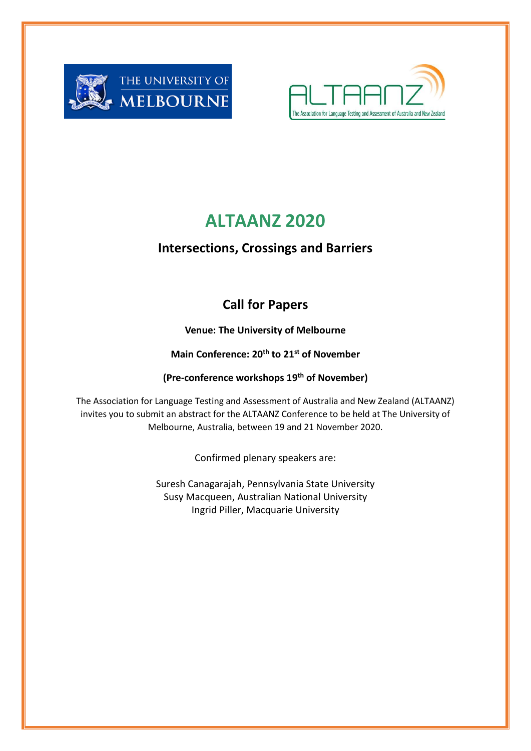



# **ALTAANZ 2020**

# **Intersections, Crossings and Barriers**

# **Call for Papers**

**Venue: The University of Melbourne**

**Main Conference: 20th to 21st of November** 

**(Pre-conference workshops 19 th of November)**

The Association for Language Testing and Assessment of Australia and New Zealand (ALTAANZ) invites you to submit an abstract for the ALTAANZ Conference to be held at The University of Melbourne, Australia, between 19 and 21 November 2020.

Confirmed plenary speakers are:

Suresh Canagarajah, Pennsylvania State University Susy Macqueen, Australian National University Ingrid Piller, Macquarie University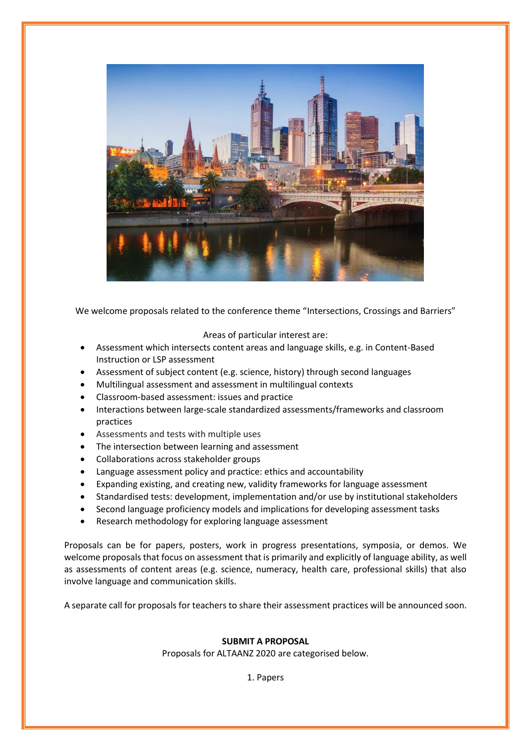

We welcome proposals related to the conference theme "Intersections, Crossings and Barriers"

### Areas of particular interest are:

- Assessment which intersects content areas and language skills, e.g. in Content-Based Instruction or LSP assessment
- Assessment of subject content (e.g. science, history) through second languages
- Multilingual assessment and assessment in multilingual contexts
- Classroom-based assessment: issues and practice
- Interactions between large-scale standardized assessments/frameworks and classroom practices
- Assessments and tests with multiple uses
- The intersection between learning and assessment
- Collaborations across stakeholder groups
- Language assessment policy and practice: ethics and accountability
- Expanding existing, and creating new, validity frameworks for language assessment
- Standardised tests: development, implementation and/or use by institutional stakeholders
- Second language proficiency models and implications for developing assessment tasks
- Research methodology for exploring language assessment

Proposals can be for papers, posters, work in progress presentations, symposia, or demos. We welcome proposals that focus on assessment that is primarily and explicitly of language ability, as well as assessments of content areas (e.g. science, numeracy, health care, professional skills) that also involve language and communication skills.

A separate call for proposals for teachers to share their assessment practices will be announced soon.

## **SUBMIT A PROPOSAL**

Proposals for ALTAANZ 2020 are categorised below.

1. Papers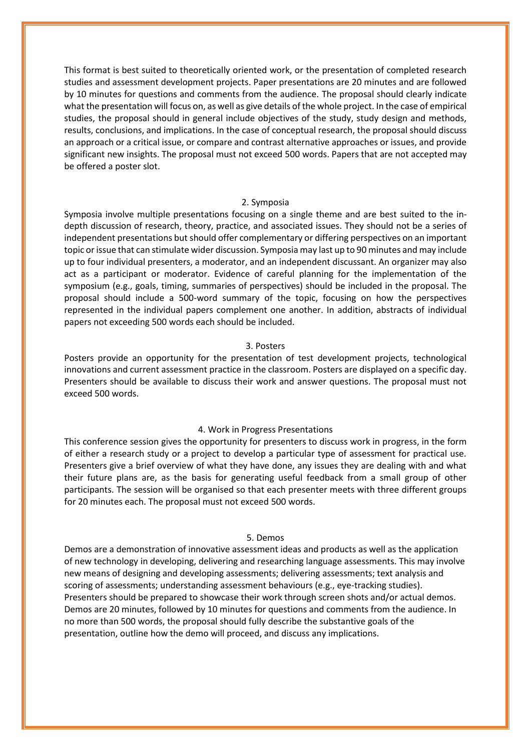This format is best suited to theoretically oriented work, or the presentation of completed research studies and assessment development projects. Paper presentations are 20 minutes and are followed by 10 minutes for questions and comments from the audience. The proposal should clearly indicate what the presentation will focus on, as well as give details of the whole project. In the case of empirical studies, the proposal should in general include objectives of the study, study design and methods, results, conclusions, and implications. In the case of conceptual research, the proposal should discuss an approach or a critical issue, or compare and contrast alternative approaches or issues, and provide significant new insights. The proposal must not exceed 500 words. Papers that are not accepted may be offered a poster slot.

#### 2. Symposia

Symposia involve multiple presentations focusing on a single theme and are best suited to the indepth discussion of research, theory, practice, and associated issues. They should not be a series of independent presentations but should offer complementary or differing perspectives on an important topic or issue that can stimulate wider discussion. Symposia may last up to 90 minutes and may include up to four individual presenters, a moderator, and an independent discussant. An organizer may also act as a participant or moderator. Evidence of careful planning for the implementation of the symposium (e.g., goals, timing, summaries of perspectives) should be included in the proposal. The proposal should include a 500-word summary of the topic, focusing on how the perspectives represented in the individual papers complement one another. In addition, abstracts of individual papers not exceeding 500 words each should be included.

#### 3. Posters

Posters provide an opportunity for the presentation of test development projects, technological innovations and current assessment practice in the classroom. Posters are displayed on a specific day. Presenters should be available to discuss their work and answer questions. The proposal must not exceed 500 words.

#### 4. Work in Progress Presentations

This conference session gives the opportunity for presenters to discuss work in progress, in the form of either a research study or a project to develop a particular type of assessment for practical use. Presenters give a brief overview of what they have done, any issues they are dealing with and what their future plans are, as the basis for generating useful feedback from a small group of other participants. The session will be organised so that each presenter meets with three different groups for 20 minutes each. The proposal must not exceed 500 words.

#### 5. Demos

Demos are a demonstration of innovative assessment ideas and products as well as the application of new technology in developing, delivering and researching language assessments. This may involve new means of designing and developing assessments; delivering assessments; text analysis and scoring of assessments; understanding assessment behaviours (e.g., eye-tracking studies). Presenters should be prepared to showcase their work through screen shots and/or actual demos. Demos are 20 minutes, followed by 10 minutes for questions and comments from the audience. In no more than 500 words, the proposal should fully describe the substantive goals of the presentation, outline how the demo will proceed, and discuss any implications.